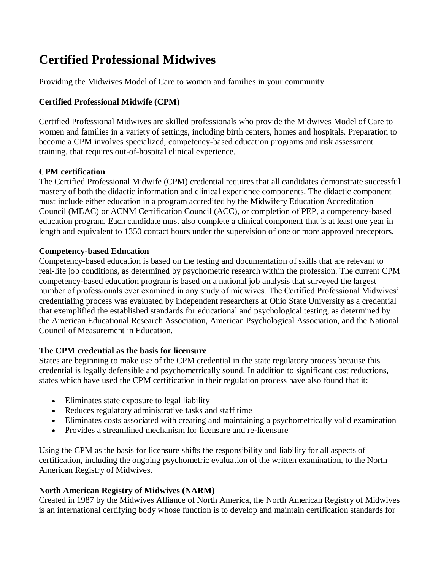# **Certified Professional Midwives**

Providing the Midwives Model of Care to women and families in your community.

### **Certified Professional Midwife (CPM)**

Certified Professional Midwives are skilled professionals who provide the Midwives Model of Care to women and families in a variety of settings, including birth centers, homes and hospitals. Preparation to become a CPM involves specialized, competency-based education programs and risk assessment training, that requires out-of-hospital clinical experience.

## **CPM certification**

The Certified Professional Midwife (CPM) credential requires that all candidates demonstrate successful mastery of both the didactic information and clinical experience components. The didactic component must include either education in a program accredited by the Midwifery Education Accreditation Council (MEAC) or ACNM Certification Council (ACC), or completion of PEP, a competency-based education program. Each candidate must also complete a clinical component that is at least one year in length and equivalent to 1350 contact hours under the supervision of one or more approved preceptors.

#### **Competency-based Education**

Competency-based education is based on the testing and documentation of skills that are relevant to real-life job conditions, as determined by psychometric research within the profession. The current CPM competency-based education program is based on a national job analysis that surveyed the largest number of professionals ever examined in any study of midwives. The Certified Professional Midwives' credentialing process was evaluated by independent researchers at Ohio State University as a credential that exemplified the established standards for educational and psychological testing, as determined by the American Educational Research Association, American Psychological Association, and the National Council of Measurement in Education.

#### **The CPM credential as the basis for licensure**

States are beginning to make use of the CPM credential in the state regulatory process because this credential is legally defensible and psychometrically sound. In addition to significant cost reductions, states which have used the CPM certification in their regulation process have also found that it:

- Eliminates state exposure to legal liability
- Reduces regulatory administrative tasks and staff time
- Eliminates costs associated with creating and maintaining a psychometrically valid examination
- Provides a streamlined mechanism for licensure and re-licensure

Using the CPM as the basis for licensure shifts the responsibility and liability for all aspects of certification, including the ongoing psychometric evaluation of the written examination, to the North American Registry of Midwives.

#### **North American Registry of Midwives (NARM)**

Created in 1987 by the Midwives Alliance of North America, the North American Registry of Midwives is an international certifying body whose function is to develop and maintain certification standards for